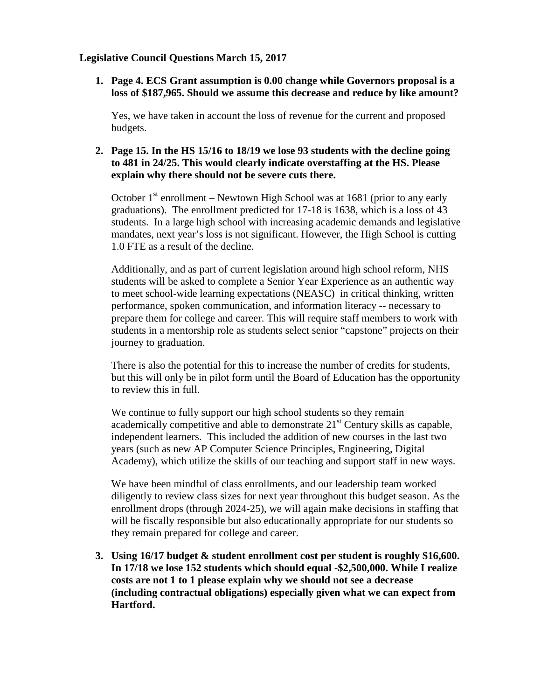# **Legislative Council Questions March 15, 2017**

**1. Page 4. ECS Grant assumption is 0.00 change while Governors proposal is a loss of \$187,965. Should we assume this decrease and reduce by like amount?**

Yes, we have taken in account the loss of revenue for the current and proposed budgets.

# **2. Page 15. In the HS 15/16 to 18/19 we lose 93 students with the decline going to 481 in 24/25. This would clearly indicate overstaffing at the HS. Please explain why there should not be severe cuts there.**

October  $1<sup>st</sup>$  enrollment – Newtown High School was at 1681 (prior to any early graduations). The enrollment predicted for 17-18 is 1638, which is a loss of 43 students. In a large high school with increasing academic demands and legislative mandates, next year's loss is not significant. However, the High School is cutting 1.0 FTE as a result of the decline.

Additionally, and as part of current legislation around high school reform, NHS students will be asked to complete a Senior Year Experience as an authentic way to meet school-wide learning expectations (NEASC) in critical thinking, written performance, spoken communication, and information literacy -- necessary to prepare them for college and career. This will require staff members to work with students in a mentorship role as students select senior "capstone" projects on their journey to graduation.

There is also the potential for this to increase the number of credits for students, but this will only be in pilot form until the Board of Education has the opportunity to review this in full.

We continue to fully support our high school students so they remain academically competitive and able to demonstrate  $21<sup>st</sup>$  Century skills as capable, independent learners. This included the addition of new courses in the last two years (such as new AP Computer Science Principles, Engineering, Digital Academy), which utilize the skills of our teaching and support staff in new ways.

We have been mindful of class enrollments, and our leadership team worked diligently to review class sizes for next year throughout this budget season. As the enrollment drops (through 2024-25), we will again make decisions in staffing that will be fiscally responsible but also educationally appropriate for our students so they remain prepared for college and career.

**3. Using 16/17 budget & student enrollment cost per student is roughly \$16,600. In 17/18 we lose 152 students which should equal -\$2,500,000. While I realize costs are not 1 to 1 please explain why we should not see a decrease (including contractual obligations) especially given what we can expect from Hartford.**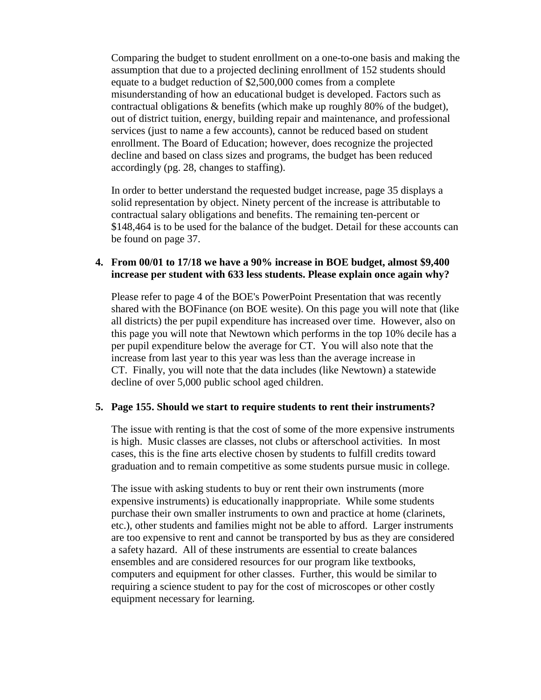Comparing the budget to student enrollment on a one-to-one basis and making the assumption that due to a projected declining enrollment of 152 students should equate to a budget reduction of \$2,500,000 comes from a complete misunderstanding of how an educational budget is developed. Factors such as contractual obligations  $\&$  benefits (which make up roughly 80% of the budget), out of district tuition, energy, building repair and maintenance, and professional services (just to name a few accounts), cannot be reduced based on student enrollment. The Board of Education; however, does recognize the projected decline and based on class sizes and programs, the budget has been reduced accordingly (pg. 28, changes to staffing).

In order to better understand the requested budget increase, page 35 displays a solid representation by object. Ninety percent of the increase is attributable to contractual salary obligations and benefits. The remaining ten-percent or \$148,464 is to be used for the balance of the budget. Detail for these accounts can be found on page 37.

## **4. From 00/01 to 17/18 we have a 90% increase in BOE budget, almost \$9,400 increase per student with 633 less students. Please explain once again why?**

Please refer to page 4 of the BOE's PowerPoint Presentation that was recently shared with the BOFinance (on BOE wesite). On this page you will note that (like all districts) the per pupil expenditure has increased over time. However, also on this page you will note that Newtown which performs in the top 10% decile has a per pupil expenditure below the average for CT. You will also note that the increase from last year to this year was less than the average increase in CT. Finally, you will note that the data includes (like Newtown) a statewide decline of over 5,000 public school aged children.

#### **5. Page 155. Should we start to require students to rent their instruments?**

The issue with renting is that the cost of some of the more expensive instruments is high. Music classes are classes, not clubs or afterschool activities. In most cases, this is the fine arts elective chosen by students to fulfill credits toward graduation and to remain competitive as some students pursue music in college.

The issue with asking students to buy or rent their own instruments (more expensive instruments) is educationally inappropriate. While some students purchase their own smaller instruments to own and practice at home (clarinets, etc.), other students and families might not be able to afford. Larger instruments are too expensive to rent and cannot be transported by bus as they are considered a safety hazard. All of these instruments are essential to create balances ensembles and are considered resources for our program like textbooks, computers and equipment for other classes. Further, this would be similar to requiring a science student to pay for the cost of microscopes or other costly equipment necessary for learning.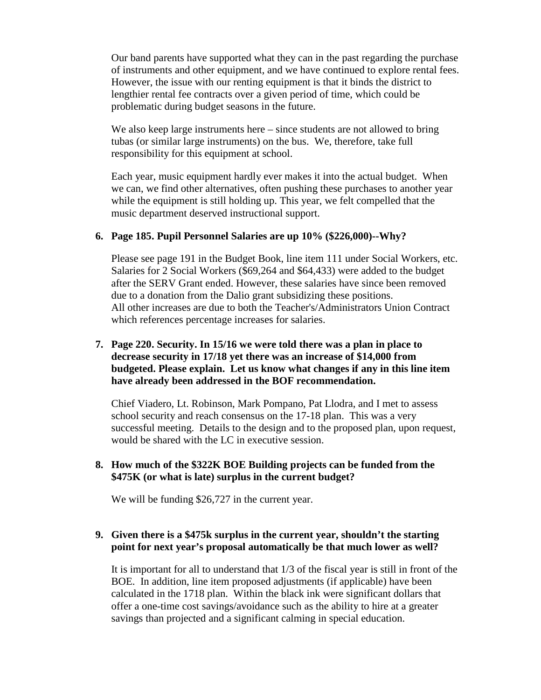Our band parents have supported what they can in the past regarding the purchase of instruments and other equipment, and we have continued to explore rental fees. However, the issue with our renting equipment is that it binds the district to lengthier rental fee contracts over a given period of time, which could be problematic during budget seasons in the future.

We also keep large instruments here – since students are not allowed to bring tubas (or similar large instruments) on the bus. We, therefore, take full responsibility for this equipment at school.

Each year, music equipment hardly ever makes it into the actual budget. When we can, we find other alternatives, often pushing these purchases to another year while the equipment is still holding up. This year, we felt compelled that the music department deserved instructional support.

### **6. Page 185. Pupil Personnel Salaries are up 10% (\$226,000)--Why?**

Please see page 191 in the Budget Book, line item 111 under Social Workers, etc. Salaries for 2 Social Workers (\$69,264 and \$64,433) were added to the budget after the SERV Grant ended. However, these salaries have since been removed due to a donation from the Dalio grant subsidizing these positions. All other increases are due to both the Teacher's/Administrators Union Contract which references percentage increases for salaries.

# **7. Page 220. Security. In 15/16 we were told there was a plan in place to decrease security in 17/18 yet there was an increase of \$14,000 from budgeted. Please explain. Let us know what changes if any in this line item have already been addressed in the BOF recommendation.**

Chief Viadero, Lt. Robinson, Mark Pompano, Pat Llodra, and I met to assess school security and reach consensus on the 17-18 plan. This was a very successful meeting. Details to the design and to the proposed plan, upon request, would be shared with the LC in executive session.

# **8. How much of the \$322K BOE Building projects can be funded from the \$475K (or what is late) surplus in the current budget?**

We will be funding \$26,727 in the current year.

### **9. Given there is a \$475k surplus in the current year, shouldn't the starting point for next year's proposal automatically be that much lower as well?**

It is important for all to understand that 1/3 of the fiscal year is still in front of the BOE. In addition, line item proposed adjustments (if applicable) have been calculated in the 1718 plan. Within the black ink were significant dollars that offer a one-time cost savings/avoidance such as the ability to hire at a greater savings than projected and a significant calming in special education.